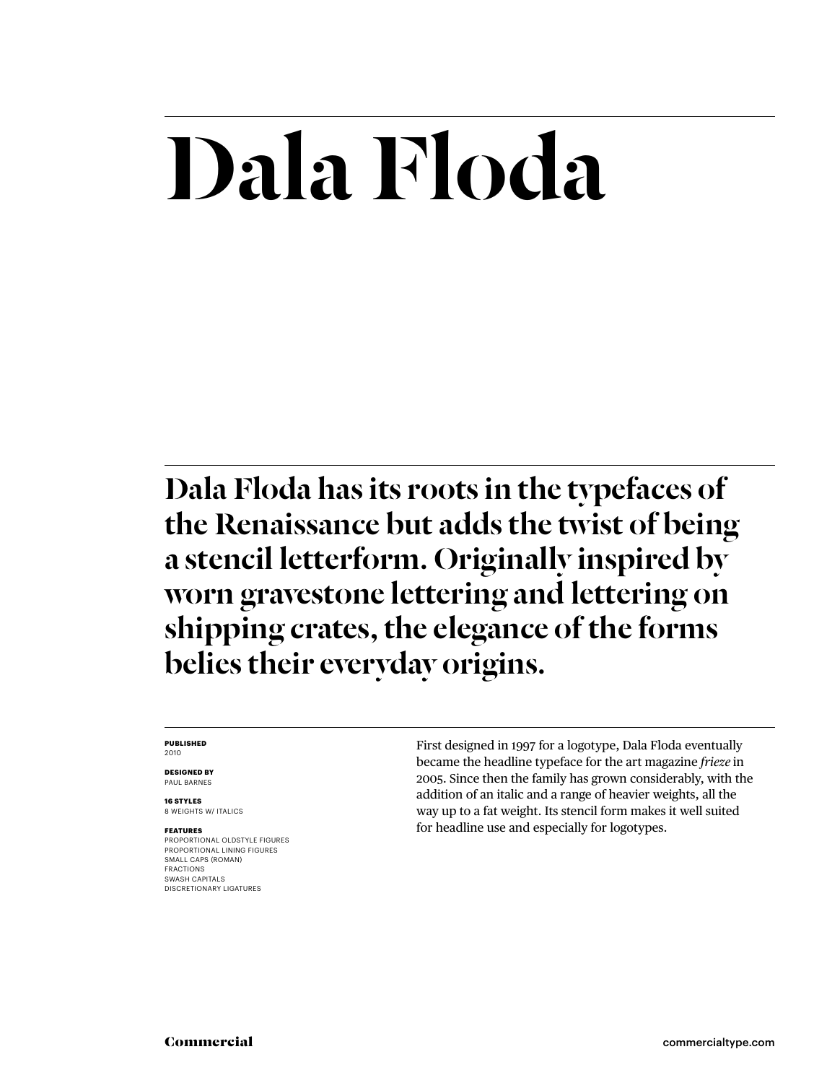## Dala Floda

Dala Floda has its roots in the typefaces of the Renaissance but adds the twist of being a stencil letterform. Originally inspired by worn gravestone lettering and lettering on shipping crates, the elegance of the forms belies their everyday origins.

#### **PUBLISHED** 2010

**DESIGNED BY** PAUL BARNES

**16 STYLES** 8 WEIGHTS W/ ITALICS

#### **FEATURES**

PROPORTIONAL OLDSTYLE FIGURES PROPORTIONAL LINING FIGURES SMALL CAPS (ROMAN) FRACTIONS SWASH CAPITALS DISCRETIONARY LIGATURES

First designed in 1997 for a logotype, Dala Floda eventually became the headline typeface for the art magazine *frieze* in 2005. Since then the family has grown considerably, with the addition of an italic and a range of heavier weights, all the way up to a fat weight. Its stencil form makes it well suited for headline use and especially for logotypes.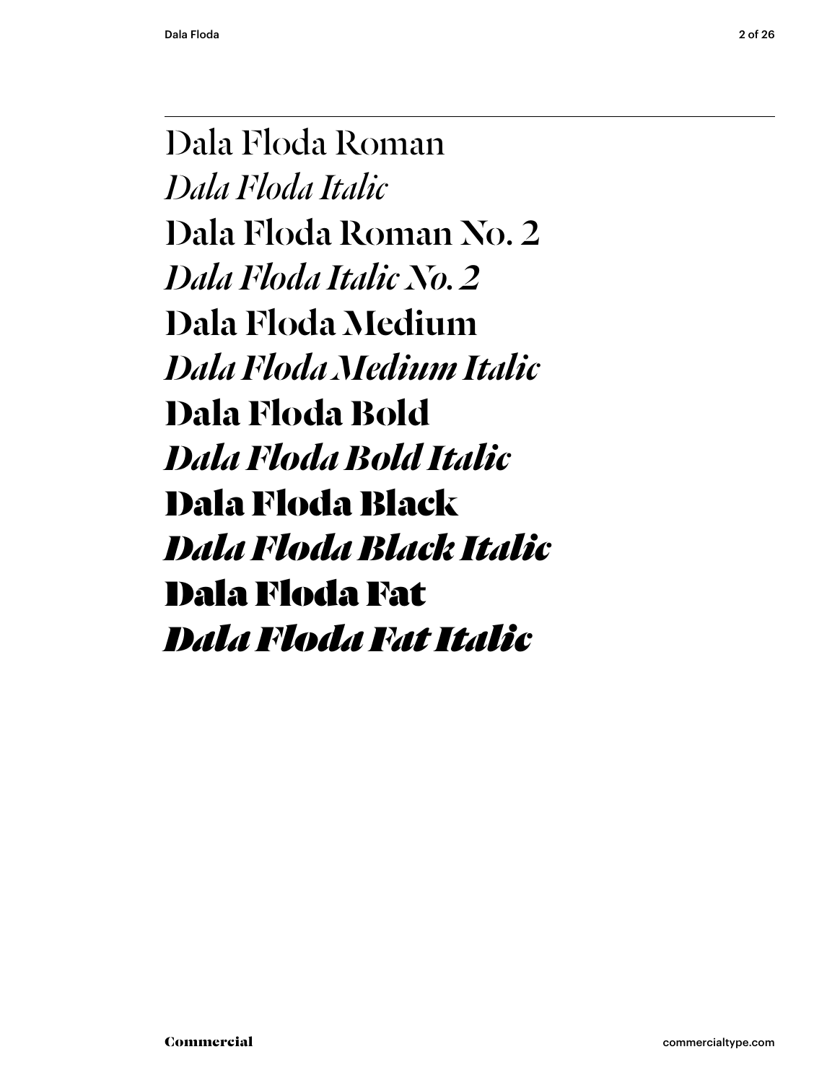Dala Floda Roman *Dala Floda Italic* Dala Floda Roman No. 2 *Dala Floda Italic No. 2* Dala Floda Medium *Dala Floda Medium Italic* **Dala Floda Bold** *Dala Floda Bold Italic* Dala Floda Black *Dala Floda Black Italic* Dala Floda Fat *Dala Floda Fat Italic*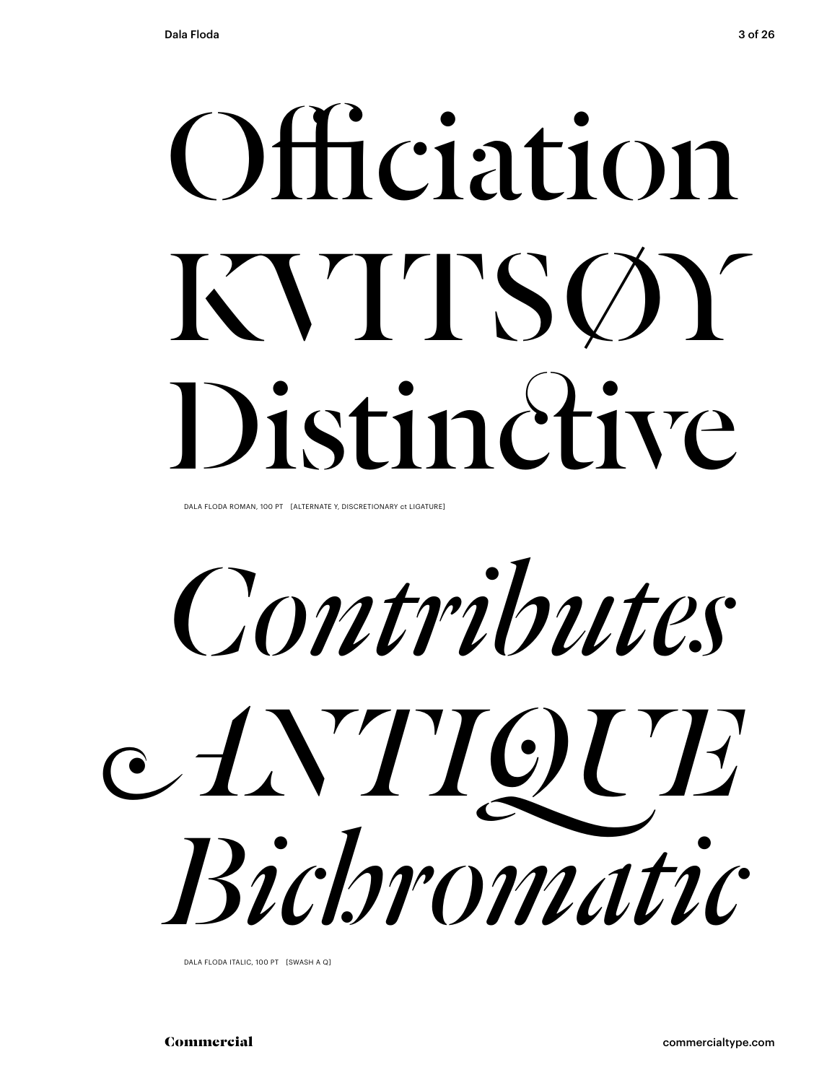# Officiation KVITSOY Distinctive

DALA FLODA ROMAN, 100 PT [ALTERNATE Y, DISCRETIONARY ct LIGATURE]

Contributes e AVTIOUE Bichromatic

DALA FLODA ITALIC, 100 PT [SWASH A Q]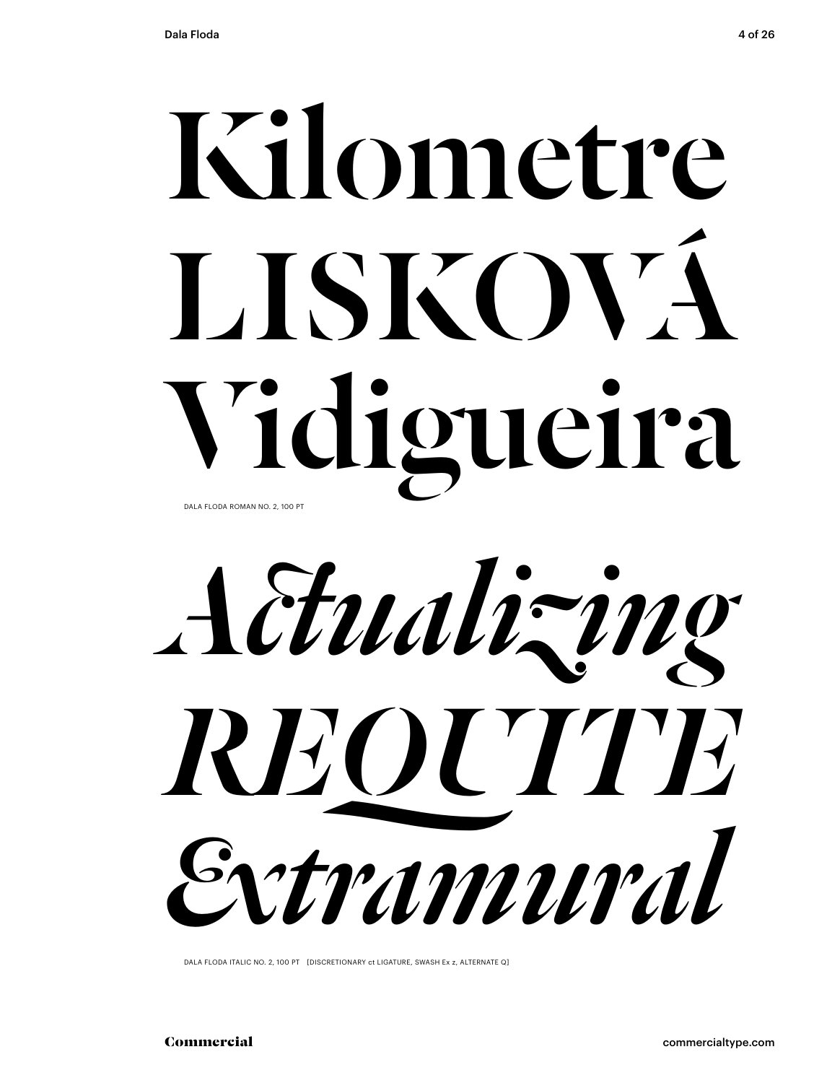## Kilometre LISKOVA Vidigueira DALA FLODA ROMAN NO. 2, 100 PT



DALA FLODA ITALIC NO. 2, 100 PT [DISCRETIONARY ct LIGATURE, SWASH Ex z, ALTERNATE Q]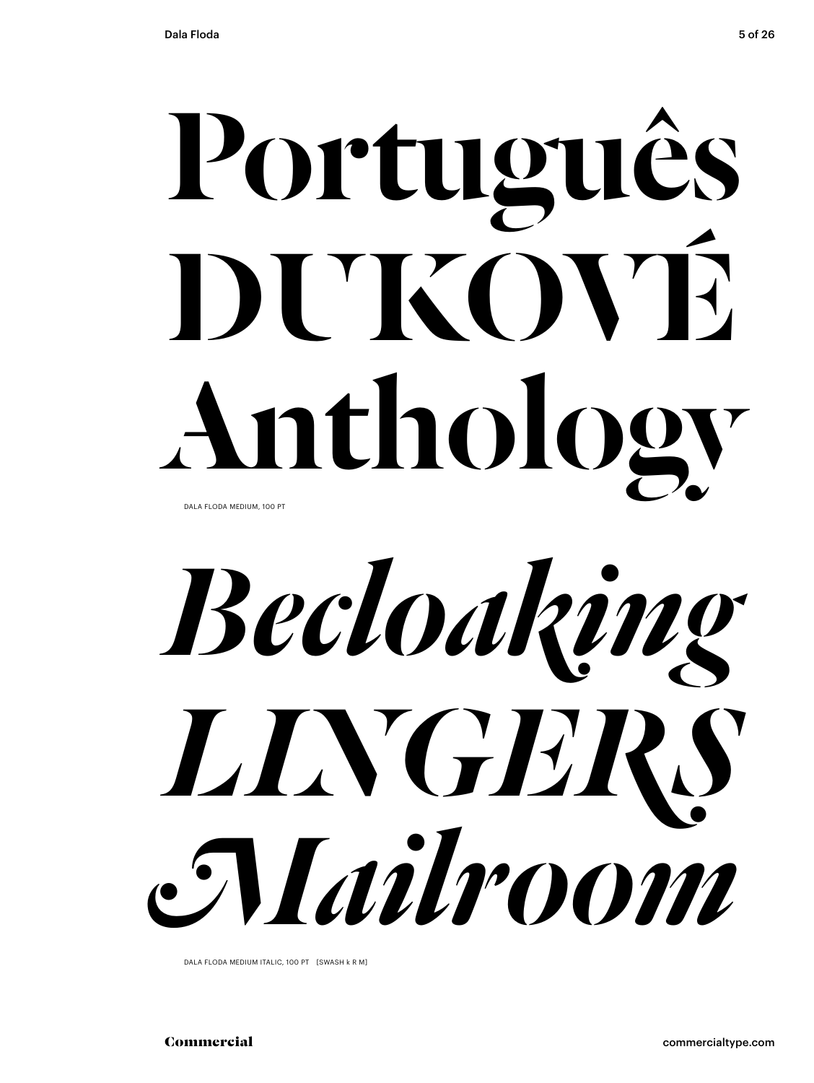## Português DUKOVÉ Anthology DALA FLODA MEDIUM, 100 PT

*Becloaking LINGERS Mailroom*

DALA FLODA MEDIUM ITALIC, 100 PT [SWASH k R M]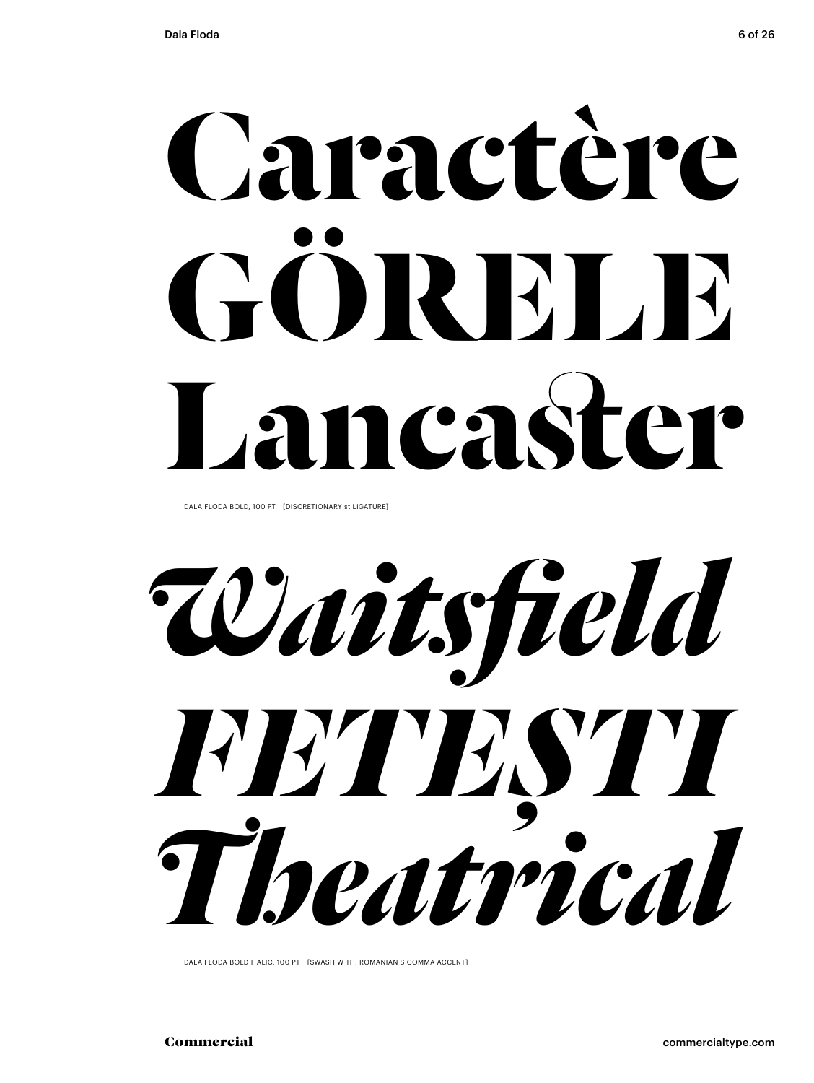# Caractère GORELE Lancaster

DALA FLODA BOLD, 100 PT [DISCRETIONARY st LIGATURE]

Waitsfield FETESTI Theatrical

DALA FLODA BOLD ITALIC, 100 PT [SWASH W TH, ROMANIAN S COMMA ACCENT]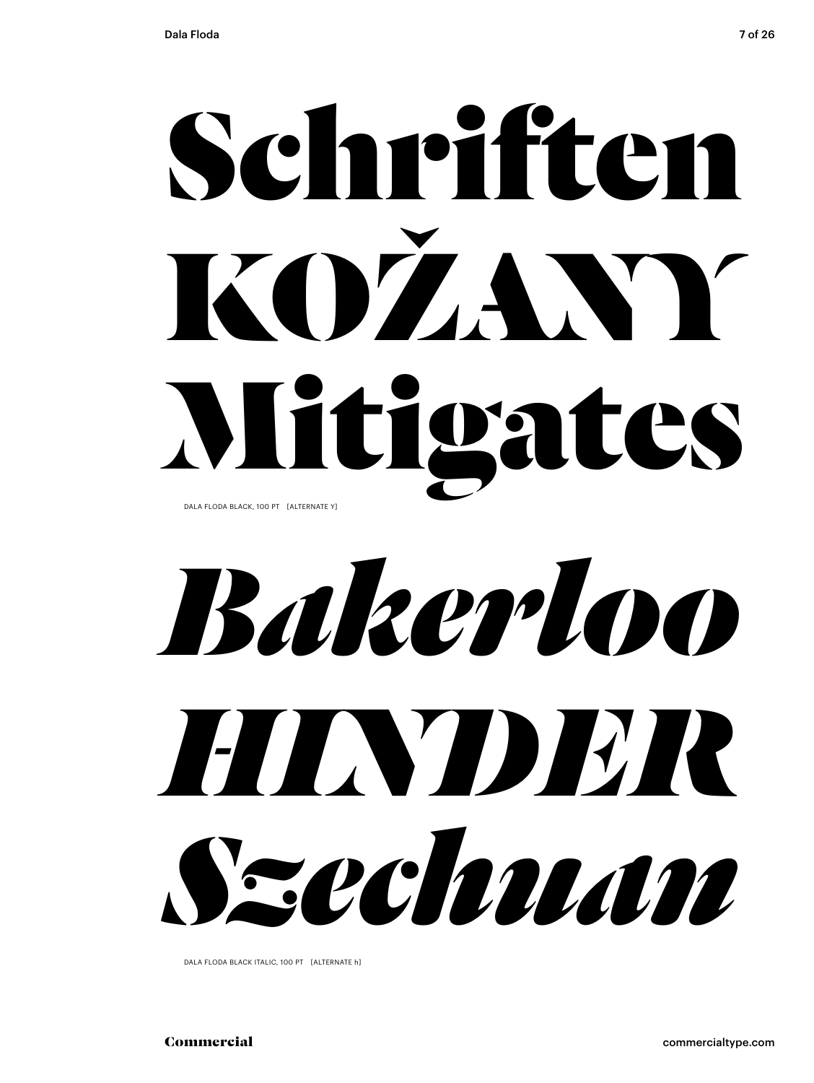## Schriften KOŽANY Mitigates DALA FLODA BLACK, 100 PT [ALTERNATE Y]

*Bakerloo HINDER Szechuan*

DALA FLODA BLACK ITALIC, 100 PT [ALTERNATE h]

Commercial commercialtype.com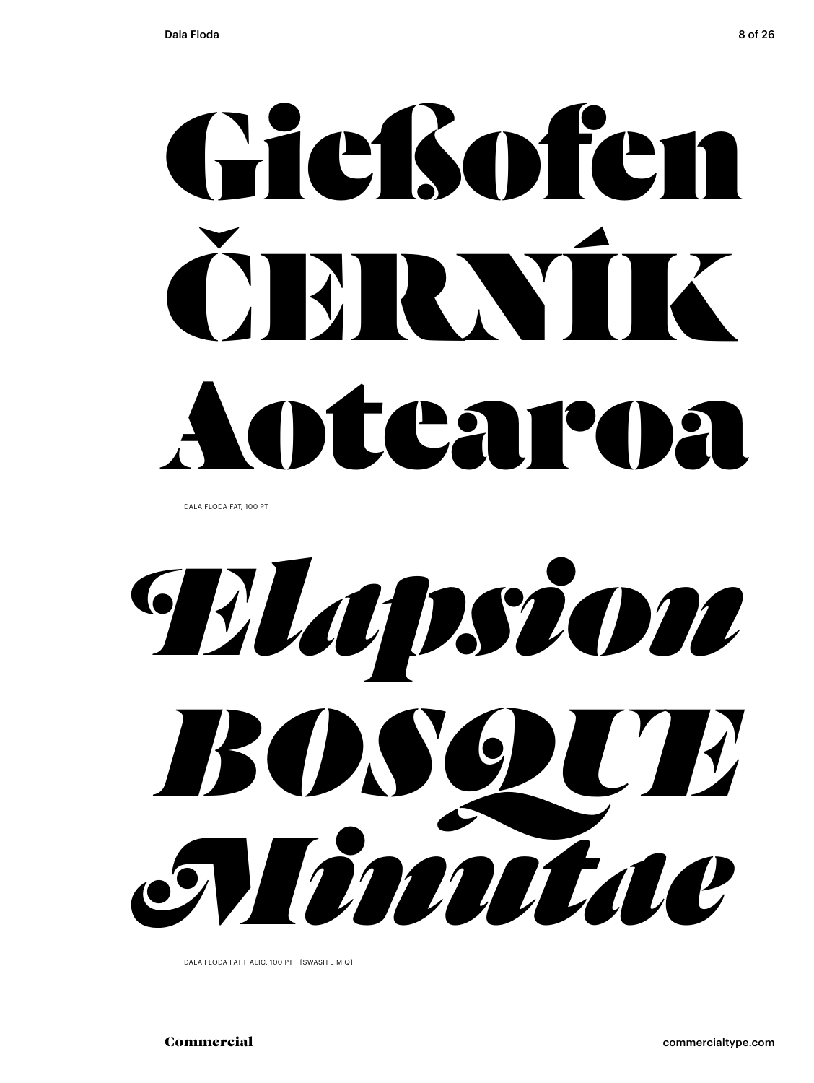# Gießofen RNIK Antearna

DALA FLODA FAT, 100 PT

Wupsion BOSOUT Nintae

DALA FLODA FAT ITALIC, 100 PT [SWASH E M Q]

commercialtype.com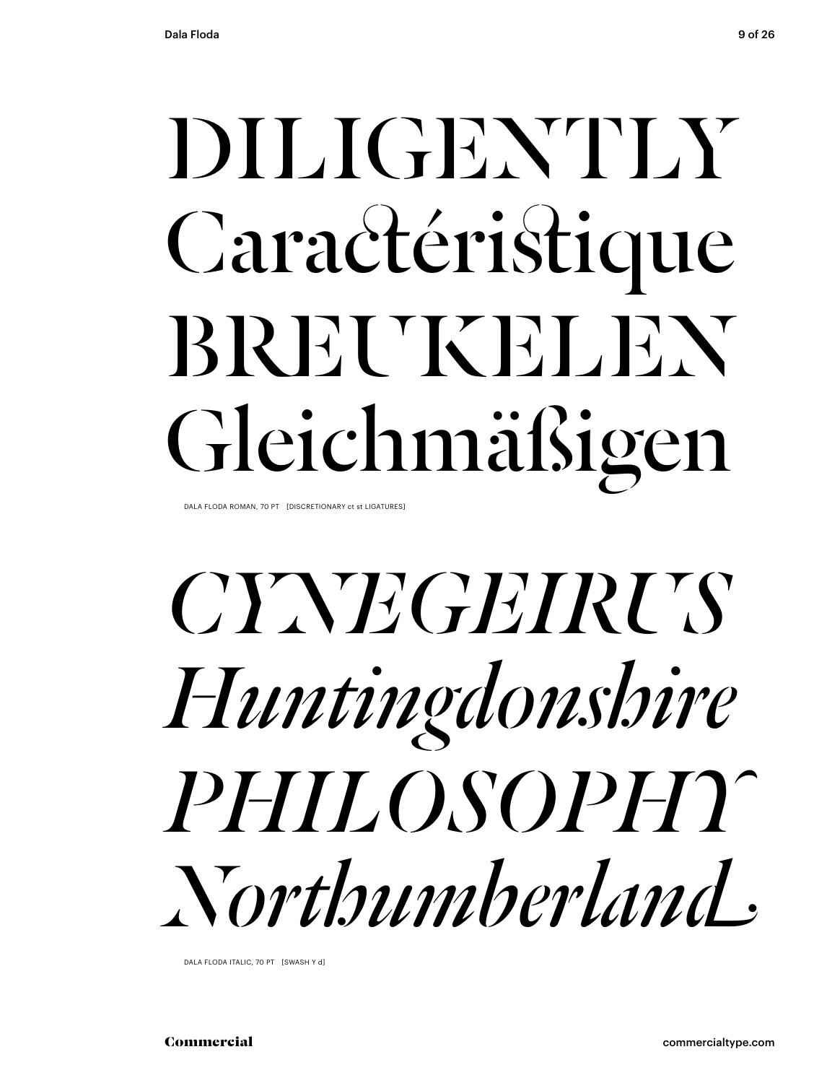## DILIGENTLY Caractéristique BREUKELEN Gleichmäßigen

DALA FLODA ROMAN, 70 PT [DISCRETIONARY ct st LIGATURES]

### **CYNTEGEIRUS** Huntingdonshire PHILOSOPHY Northumherland,

DALA FLODA ITALIC, 70 PT [SWASH Y d]

commercialtype.com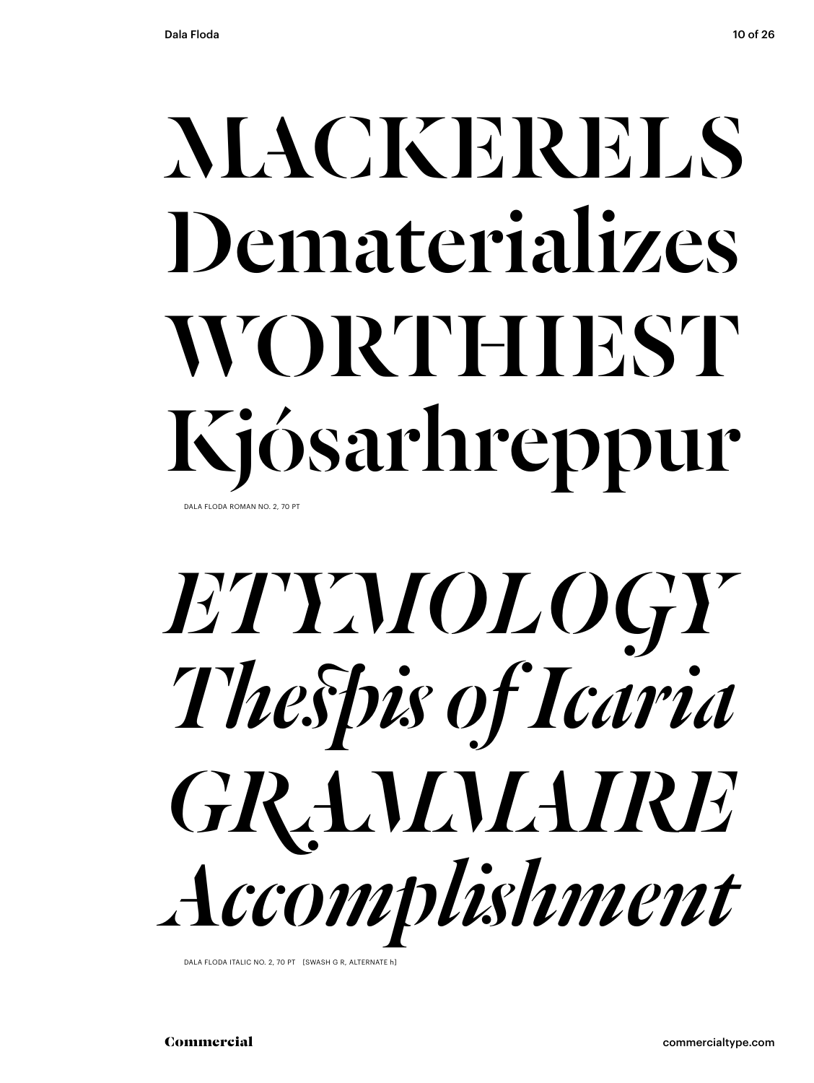## MACKERELS Dematerializes WORTHIEST Kjósarhreppur

DALA FLODA ROMAN NO. 2, 70 PT



DALA FLODA ITALIC NO. 2, 70 PT [SWASH G R, ALTERNATE h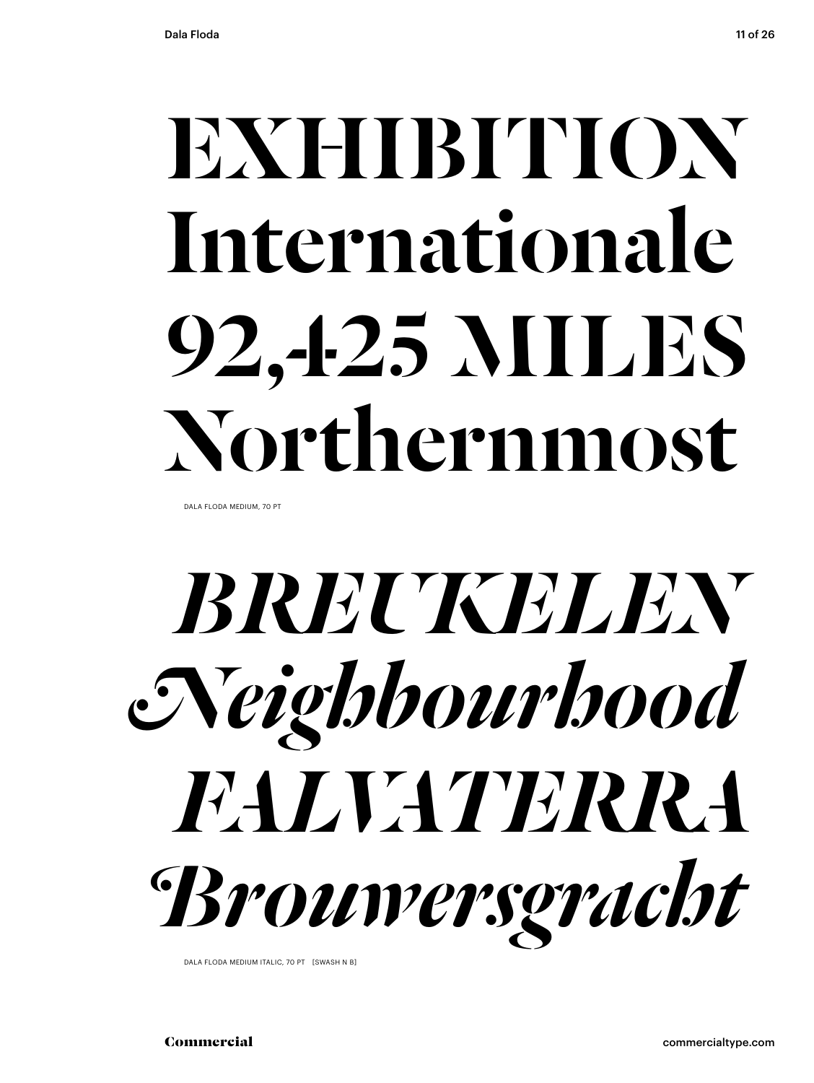### EXHIBITION Internationale 92,425 MILES Northernmost

DALA FLODA MEDIUM, 70 PT



DALA FLODA MEDIUM ITALIC, 70 PT [SWASH N B]

Commercial commercialtype.com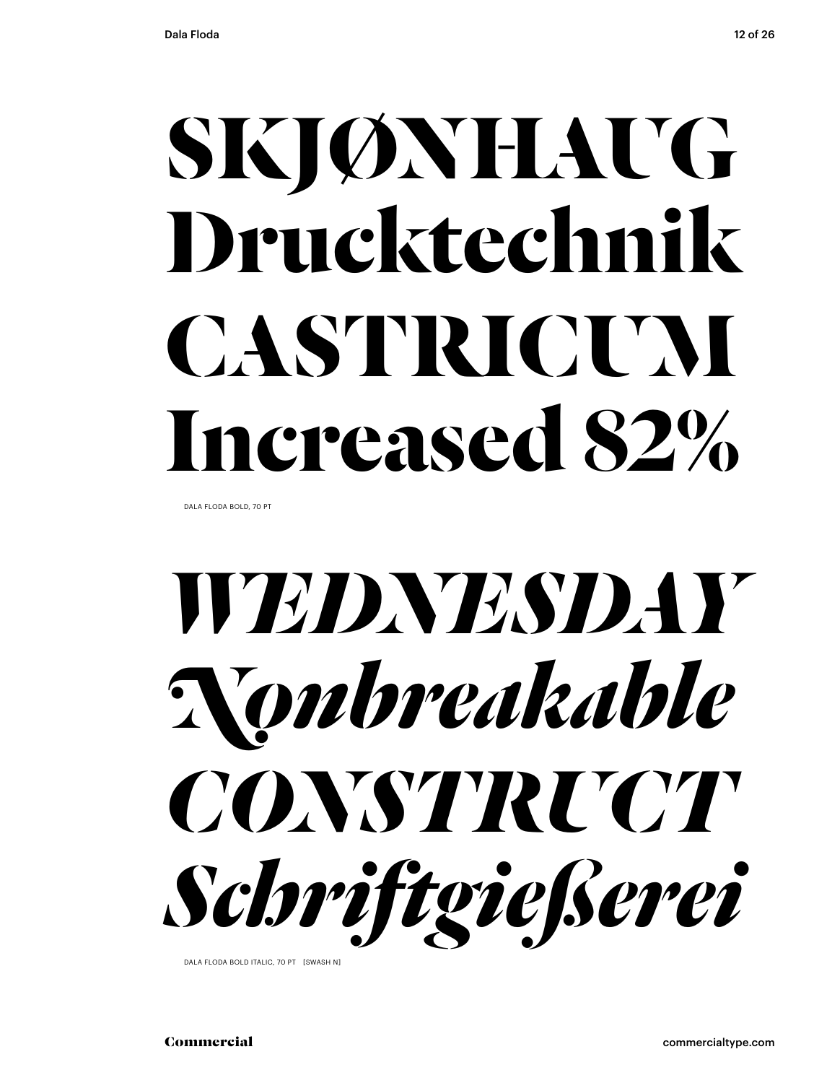### **SKJØNHAUG Drucktechnik CASTRICUM Increased 82%**

DALA FLODA BOLD, 70 PT



DALA FLODA BOLD ITALIC, 70 PT [SWASH N]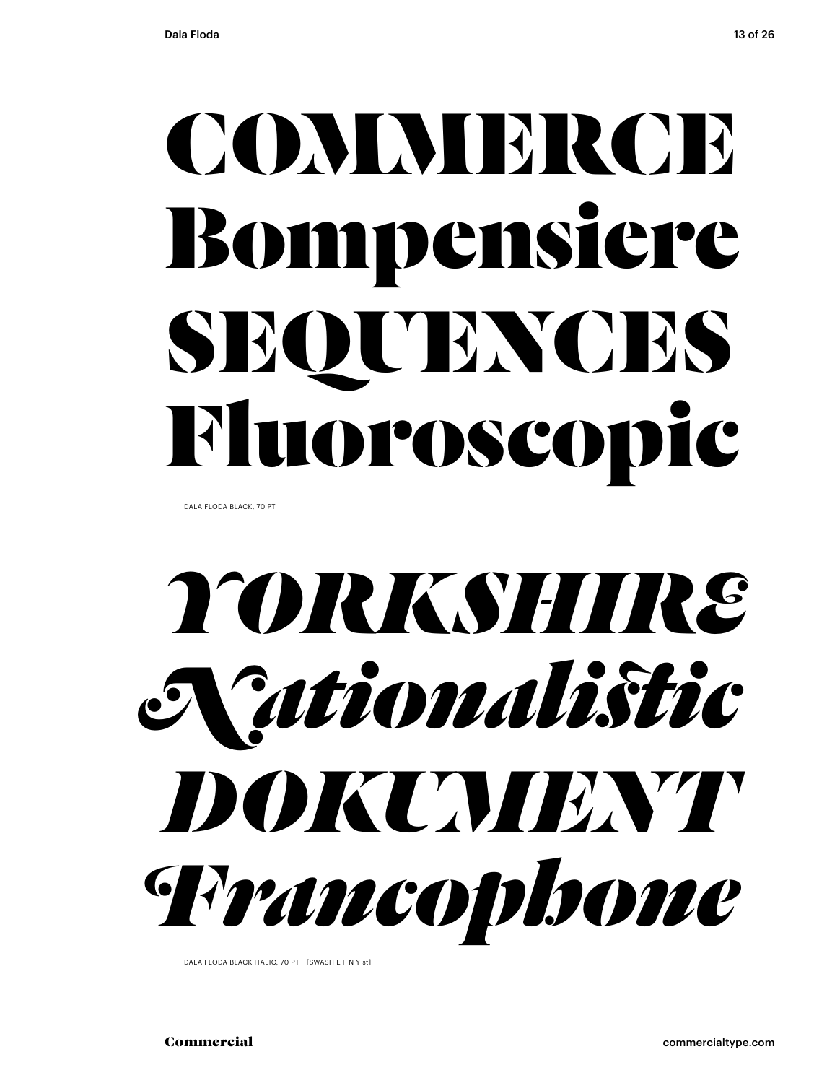### **COMMERCE** Bompensiere SEQUENCES Fluoroscopic

DALA FLODA BLACK, 70 PT



DALA FLODA BLACK ITALIC, 70 PT [SWASH E F N Y st]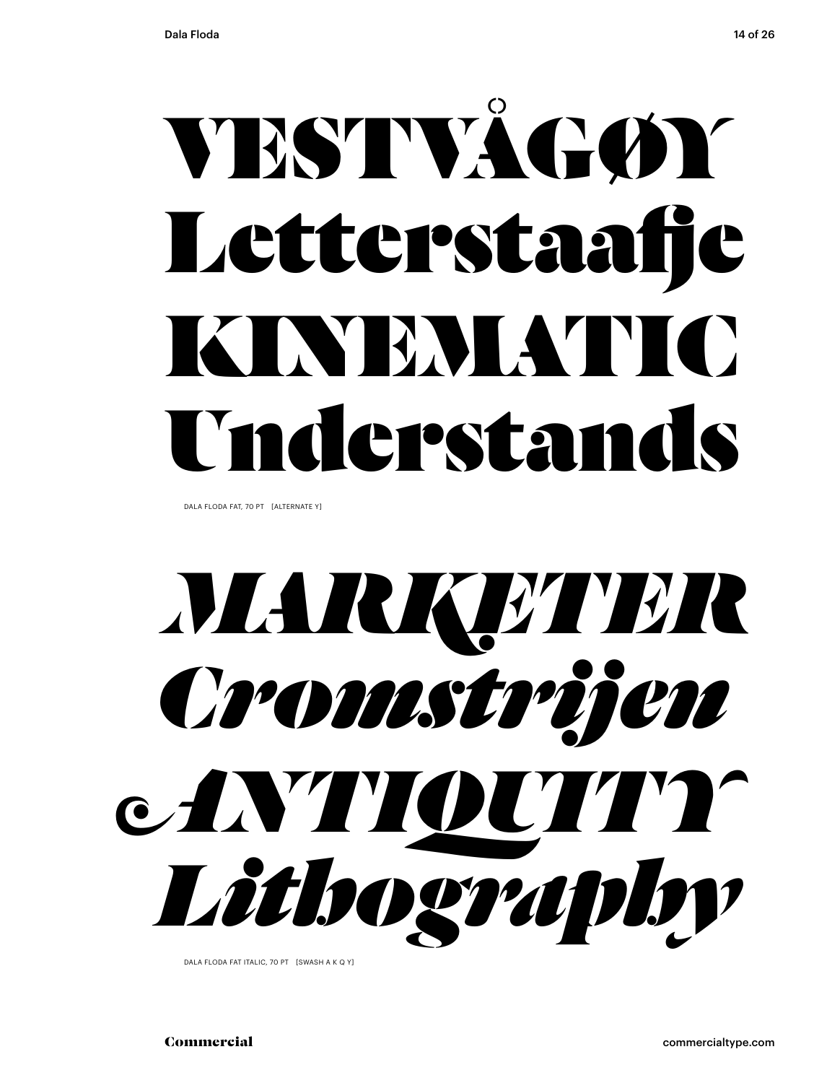## VESTVÅGØY Letterstaafje KYEMATIC Understand

DALA FLODA FAT, 70 PT [ALTERNATE Y]

## *MARKETER Cromstrijen ANTIQUITY Lithography*

DALA FLODA FAT ITALIC, 70 PT [SWASH A K Q Y]

Commercial commercialtype.com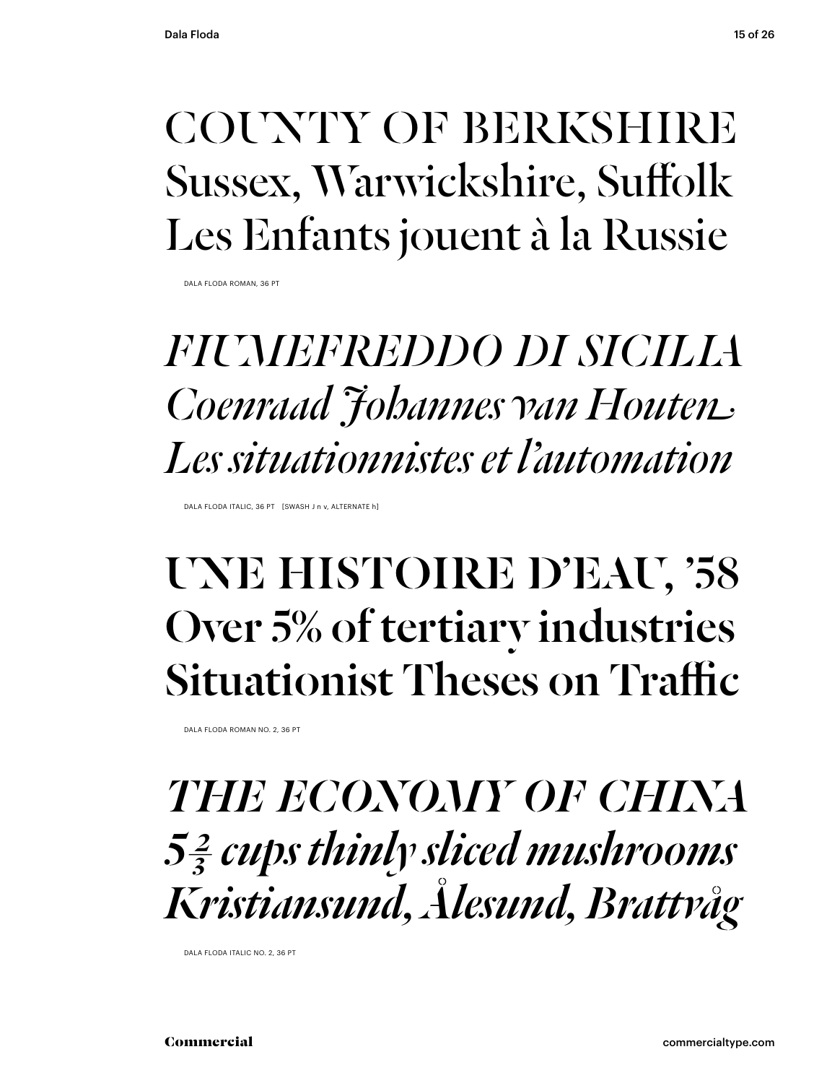#### COUNTY OF BERKSHIRE Sussex, Warwickshire, Suffolk Les Enfants jouent à la Russie

DALA FLODA ROMAN, 36 PT

### *FIUMEFREDDO DI SICILIA Coenraad Johannes van Houten Les situationnistes et l'automation*

DALA FLODA ITALIC, 36 PT [SWASH J n v, ALTERNATE h]

#### UNE HISTOIRE D'EAU, '58 Over 5% of tertiary industries Situationist Theses on Traffic

DALA FLODA ROMAN NO. 2, 36 PT

*THE ECONOMY OF CHINA 5 ⅔ cups thinly sliced mushrooms Kristiansund, Ålesund, Brattvåg*

DALA FLODA ITALIC NO. 2, 36 PT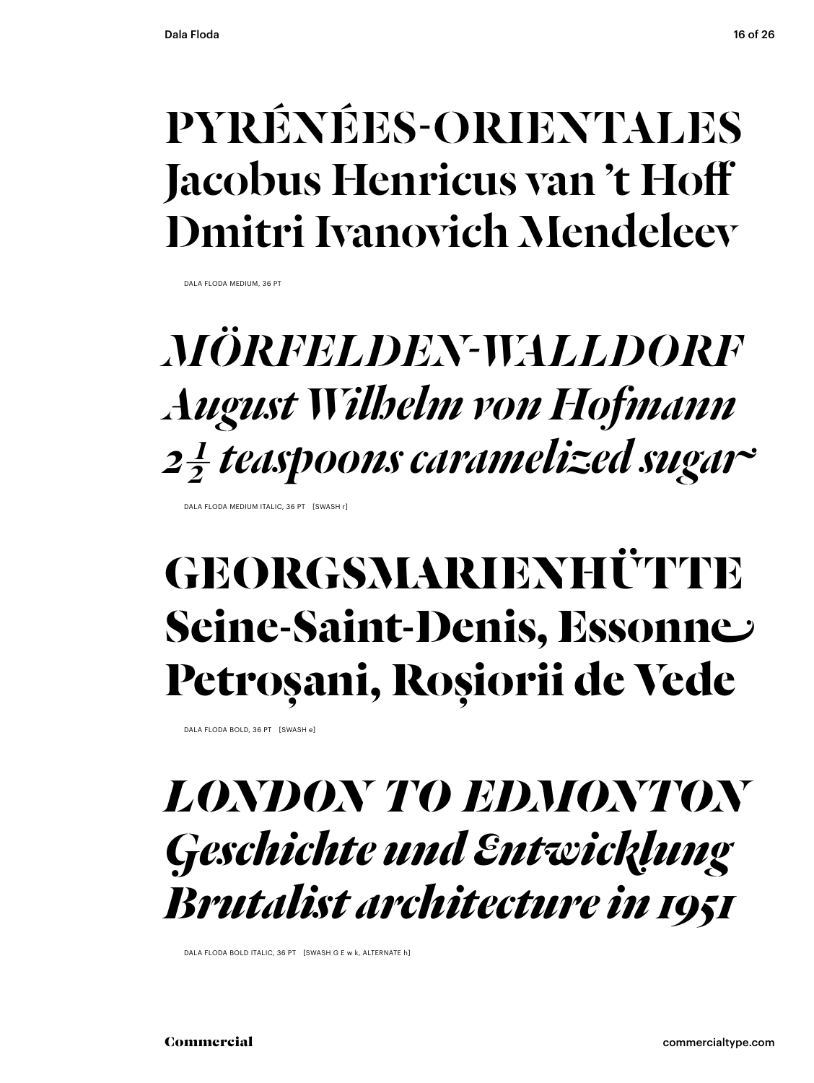#### PYRÉNÉES-ORIENTALES Jacobus Henricus van 't Hoff Dmitri Ivanovich Mendeleev

DALA FLODA MEDIUM, 36 PT

### *MÖRFELDEN-WALLDORF August Wilhelm von Hofmann 2 ½ teaspoons caramelized sugar*

DALA FLODA MEDIUM ITALIC, 36 PT [SWASH r]

### **GEORGSMARIENHÜTTE Seine-Saint-Denis, Essonne Petroșani, Roșiorii de Vede**

DALA FLODA BOLD, 36 PT [SWASH e]

#### *LONDON TO EDMONTON Geschichte und Entwicklung Brutalist architecture in 1951*

DALA FLODA BOLD ITALIC, 36 PT [SWASH G F w k, ALTERNATE h]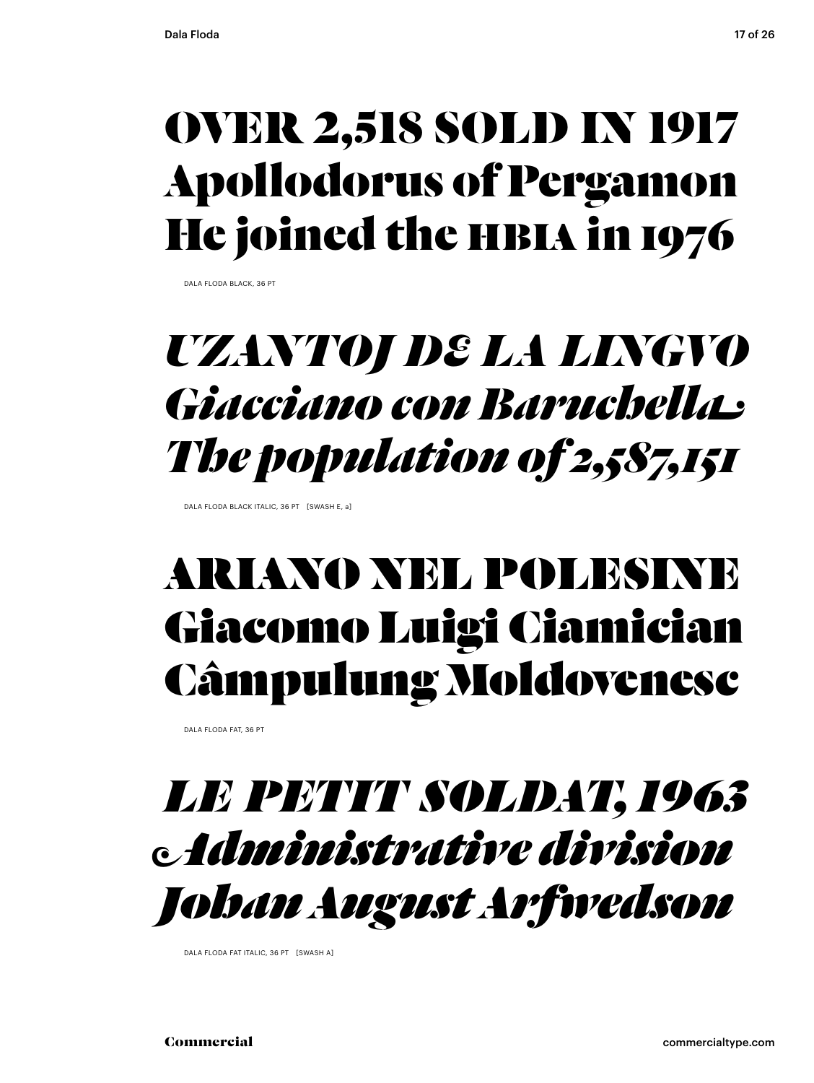### OVER 2,518 SOLD IN 1917 Apollodorus of Pergamon He joined the HBIA in 1976

DALA FLODA BLACK, 36 PT

### *UZANTOJ DE LA LINGVO Giacciano con Baruchella The population of 2,587,151*

DALA FLODA BLACK ITALIC, 36 PT [SWASH E, a]

### ARIANO NEL POLESINE Giacomo Luigi Ciamician Câmpulung Moldovenesc

DALA FLODA FAT, 36 PT

### *LE PETIT SOLDAT, 1963 Administrative division Johan August Arfwedson*

DALA FLODA FAT ITALIC, 36 PT [SWASH A]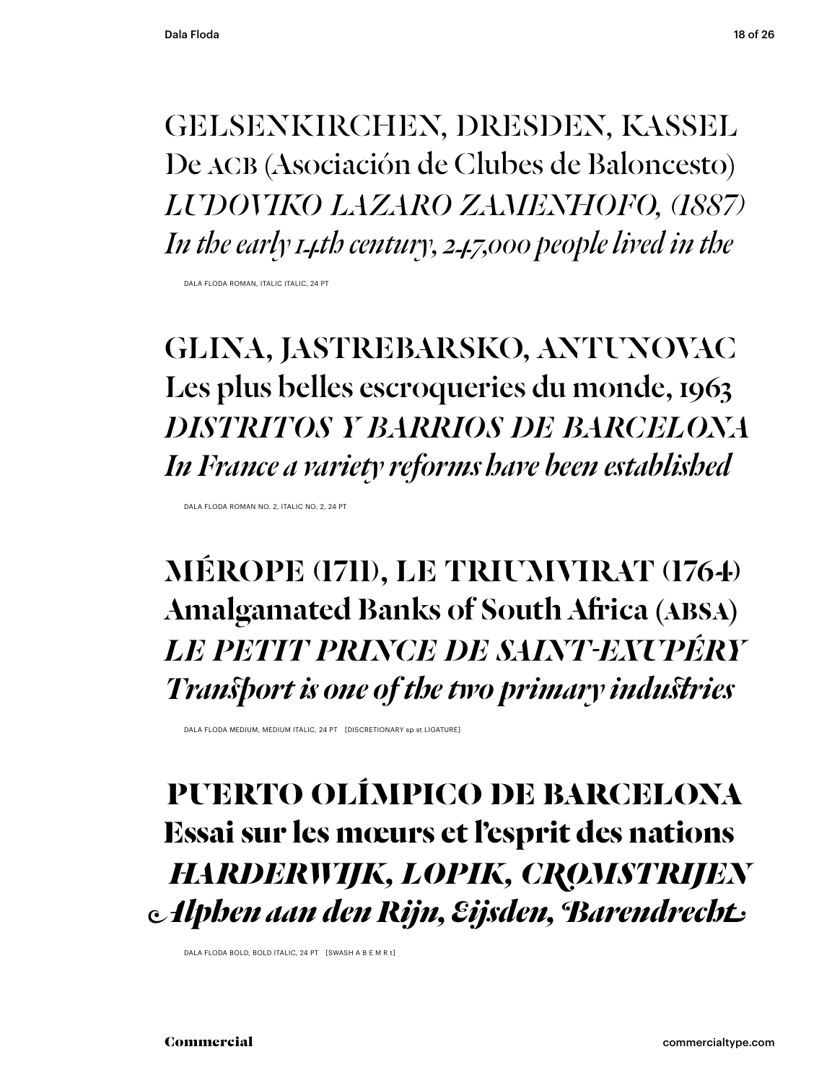GELSENKIRCHEN, DRESDEN, KASSEL De ACB (Asociación de Clubes de Baloncesto) *LUDOVIKO LAZARO ZAMENHOFO, (1887) In the early 14th century, 247,000 people lived in the*

DALA FLODA ROMAN, ITALIC ITALIC, 24 PT

GLINA, JASTREBARSKO, ANTUNOVAC Les plus belles escroqueries du monde, 1963 *DISTRITOS Y BARRIOS DE BARCELONA In France a variety reforms have been established*

DALA FLODA ROMAN NO. 2, ITALIC NO. 2, 24 PT

MÉROPE (1711), LE TRIUMVIRAT (1764) Amalgamated Banks of South Africa (ABSA) *LE PETIT PRINCE DE SAINT-EXUPÉRY* **Transport is one of the two primary industries** 

DALA FLODA MEDIUM, MEDIUM ITALIC, 24 PT [DISCRETIONARY sp st LIGATURE]

 **PUERTO OLÍMPICO DE BARCELONA Essai sur les mœurs et l'esprit des nations**  *HARDERWIJK, LOPIK, CROMSTRIJEN* **Alphen aan den Rijn, Eijsden, Barendrecht** 

DALA FLODA BOLD, BOLD ITALIC, 24 PT [SWASH A B E M R t]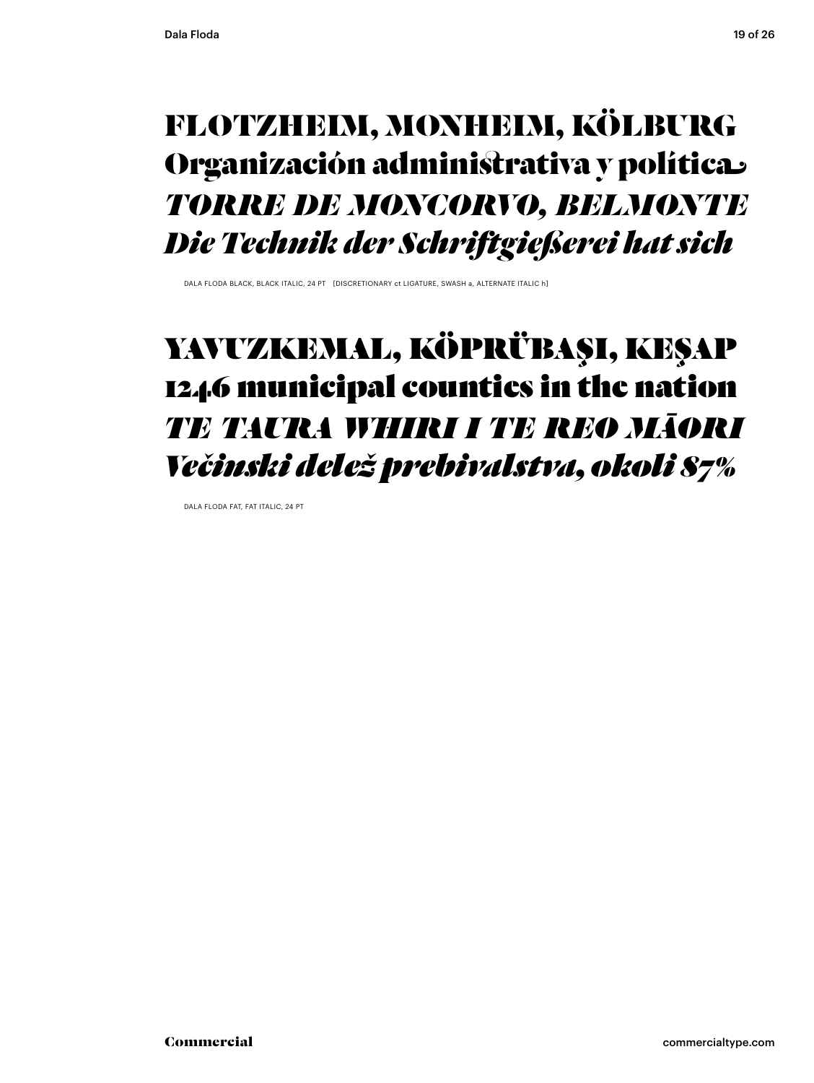#### FLOTZHEIM, MONHEIM, KÖLBURG Organización administrativa y política **TORRE DE MONCORVO, BELMONTE** Die Technik der Schriftgießerei hat sich

DALA FLODA BLACK BLACK ITALIC 24 PT. IDISCRETIONARY of LIGATURE SWASH & ALTERNATE ITALIC bL

#### YAVUZKEMAL, KÖPRÜBAŞI, KEŞAP 1246 municipal counties in the nation TE TAURA WHIRI I TE REO MĀORI Večinski delež prebivalstva, okoli 87%

DALA FLODA FAT, FAT ITALIC, 24 PT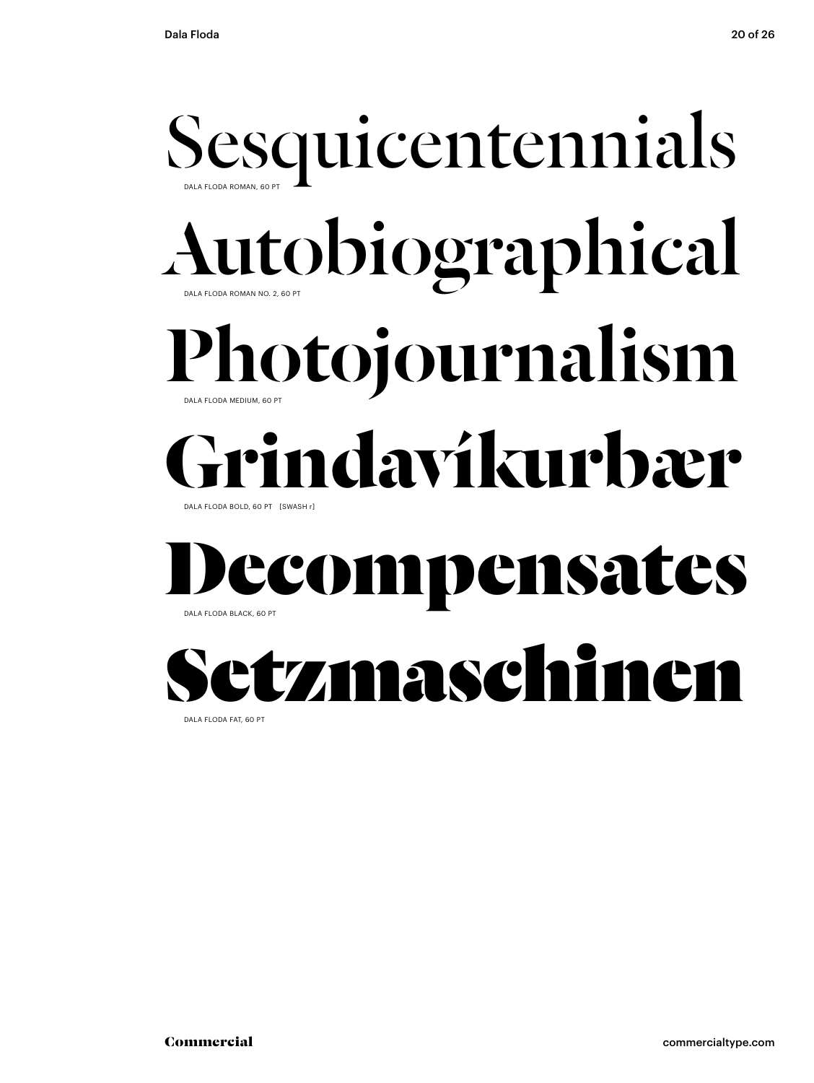### Sesquicentennials DALA FLODA ROMAN NO. 2, 60 DALA FLODA ROMAN, 60 PT Autobiographical Photojournalism DALA FLODA BOLD, 60 PT [SWASH r] DALA FLODA MEDIUM, 60 PT **Grindavíkurbær** Decompensates



DALA FLODA FAT, 60 PT

DALA FLODA BLACK, 60 PT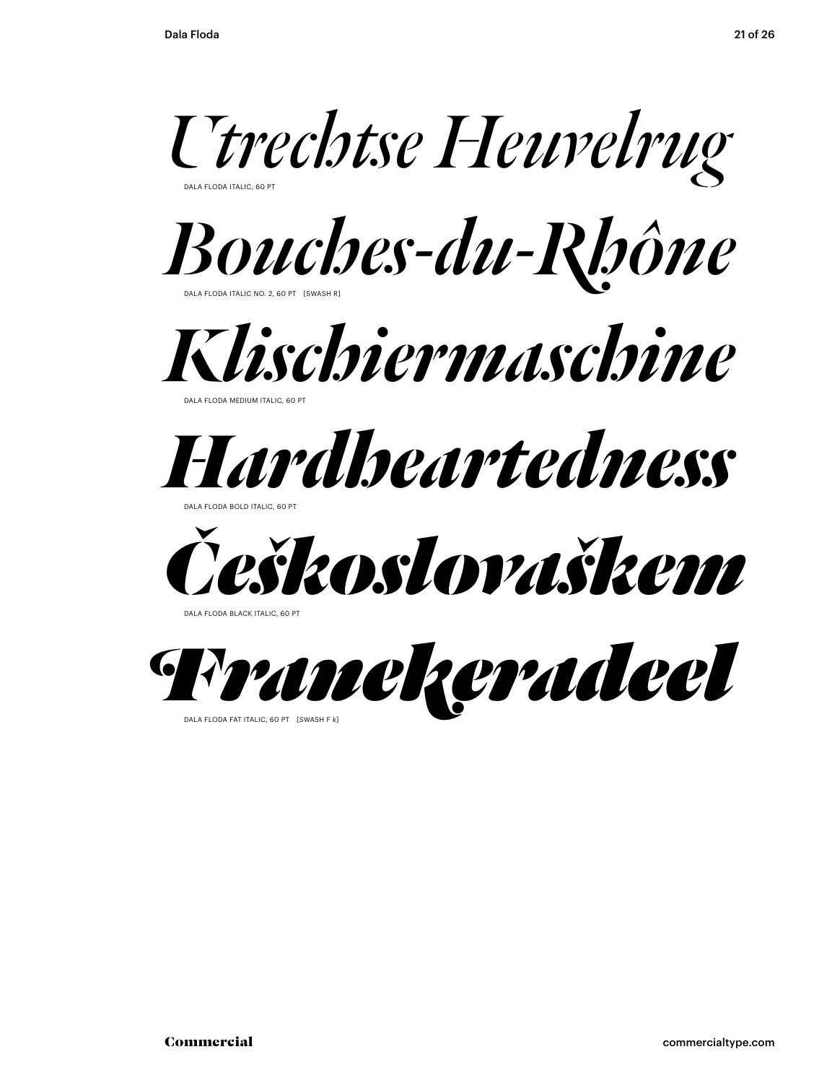*Utrechtse Heuvelrug*

DALA FLODA ITALIC, 60 PT

DALA FLODA ITALIC NO. 2, 60 PT [SWASH R] *Bouches-du-Rhône*



DALA FLODA MEDIUM ITALIC, 60 PT



DALA FLODA BOLD ITALIC, 60 PT



DALA FLODA BLACK ITALIC, 60 PT



DALA FLODA FAT ITALIC, 60 PT [SWASH F k]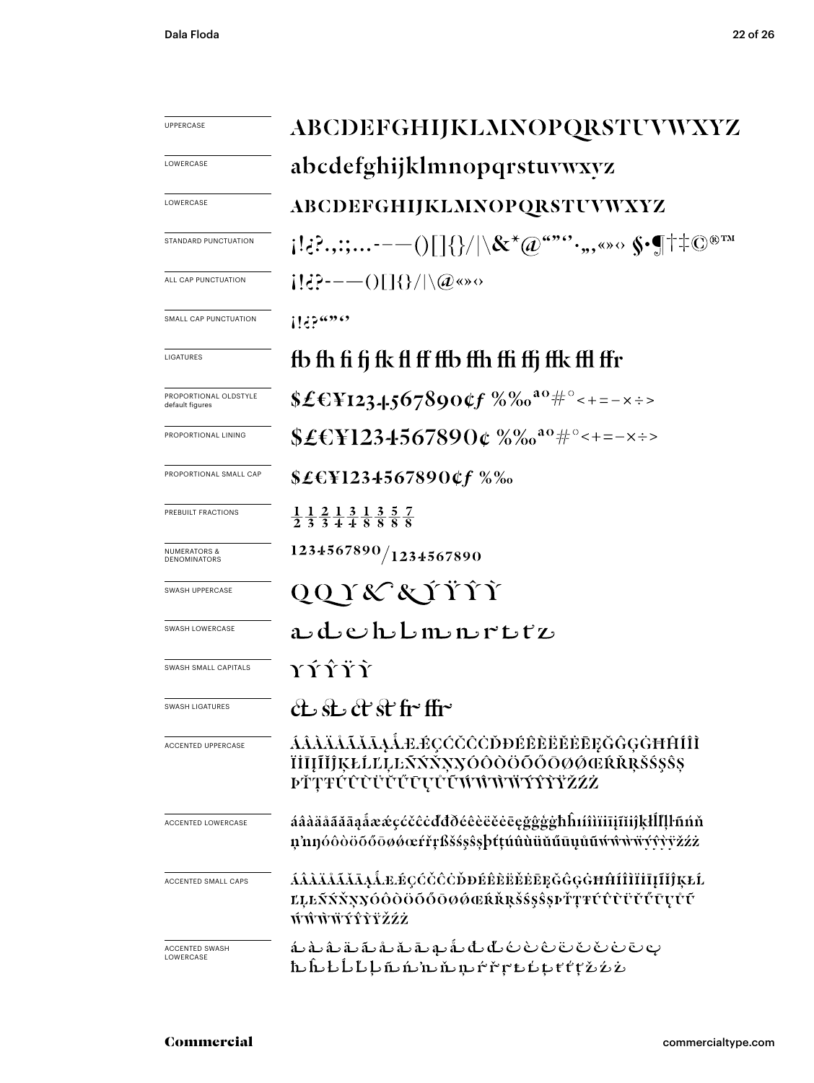| <b>UPPERCASE</b>                         | ABCDEFGHIJKLMNOPQRSTUVWXYZ                                                                                                                                                                                                                               |
|------------------------------------------|----------------------------------------------------------------------------------------------------------------------------------------------------------------------------------------------------------------------------------------------------------|
| LOWERCASE                                | abcdefghijklmnopqrstuvwxyz                                                                                                                                                                                                                               |
| LOWERCASE                                | ABCDEFGHIJKLMNOPQRSTUVWXYZ                                                                                                                                                                                                                               |
| STANDARD PUNCTUATION                     | $\{ \{;\hat{c}\}.\,,\ldots\cdot\text{---}() \} \{\}/ \backslash\mathcal{K}^{\star}(\hat{w}^{a\cdot\!\ast\!\cdot\!\ast\!\cdot\!\ast\!\ast\!\ast\!\ast\!\ast\!\ast\!\ast\!\ast\{\text{---}\}^{\text{even}}\}$                                              |
| ALL CAP PUNCTUATION                      | $\{ \mathcal{E}^{\mathcal{P}}_{\mathbf{r}}\mathcal{E}^{(0)}_{\mathbf{r}}\rangle = -\left(\int_{\mathbb{R}}  \mathcal{E}^{(0)}_{\mathbf{r}}  \right) \cdot \left(\mathcal{E}^{(0)}_{\mathbf{r}}\right) \cdot \left(\mathcal{E}^{(0)}_{\mathbf{r}}\right)$ |
| SMALL CAP PUNCTUATION                    | 1!3                                                                                                                                                                                                                                                      |
| LIGATURES                                | fb fh fi fj fk fl ff ffb ffh ffi ffj ffk ffl ffr                                                                                                                                                                                                         |
| PROPORTIONAL OLDSTYLE<br>default figures | \$£€\\\$123.4.567890¢f %% <sup>a0#</sup> ********                                                                                                                                                                                                        |
| PROPORTIONAL LINING                      | \$£€\\\$1234567890¢%%^*************                                                                                                                                                                                                                      |
| PROPORTIONAL SMALL CAP                   | \$£€¥1234567890¢f %‰                                                                                                                                                                                                                                     |
| PREBUILT FRACTIONS                       | $\frac{1}{2}$ $\frac{1}{3}$ $\frac{2}{3}$ $\frac{1}{4}$ $\frac{3}{8}$ $\frac{1}{8}$ $\frac{3}{8}$ $\frac{5}{8}$ $\frac{7}{8}$                                                                                                                            |
| <b>NUMERATORS &amp;</b><br>DENOMINATORS  | 1234567890/1234567890                                                                                                                                                                                                                                    |
| SWASH UPPERCASE                          | QQY&XYŸŶŶ                                                                                                                                                                                                                                                |
| SWASH LOWERCASE                          | adehbmmrttz                                                                                                                                                                                                                                              |
| SWASH SMALL CAPITALS                     | <b>YÝŸŶ</b>                                                                                                                                                                                                                                              |
| <b>SWASH LIGATURES</b>                   | ct st ct st fr ffr                                                                                                                                                                                                                                       |
| <b>ACCENTED UPPERCASE</b>                | ÁÂÀĂĂĂĂĂĄÅÆÉÇĆČĈŎĎĐÉÊÈËĔĒĒĞĜĢĠĦĤÍÎÌ<br>ÏİĪĮĨĬĴĶŁĹĽĻĿÑŃŇŊÓÔŎŎŎŐŌØØŒŔŘRŠŚ\$Ŝ\$<br><b>ÞŤŢŦŰŨŨŬŬŰŪŲŮŨŴŴŴŸŶŶŸŽŹŻ</b>                                                                                                                                          |
| <b>ACCENTED LOWERCASE</b>                | áâàäåããāaåææçćčĉċďđðéêèëěeēçğĝģġħĥıíîìïīiīíĭiĵķłĺľļŀñńň<br>n'nnóôòöőőöøøœŕřŗßšśşŝşþtṭúûùüŭűūụůũẃŵŵ₩ŸŶvŸžźż                                                                                                                                               |
| <b>ACCENTED SMALL CAPS</b>               | ÁÂÀÄÅÃĂĀĄÅÆÆÇĆČĈÒĐÉÊÈËĔĔĘĞĜĢĠĦĤÍÎĨĬĪĮĨĬĴĶŁĹ<br>ĽĻĿŃŃŇŊŊŎŎŎŎŎŎŎØŎŒŔŘŖŠŚŞŜŞÞŤŢŦŰŨŨŬŰŰŨŲŮŰ<br>ŴŴŴŸŶŶŸŽŹŻ                                                                                                                                                    |
| ACCENTED SWASH<br>LOWERCASE              | ۿۦۿۦۿۦۊۦ؋؞؋؞؋؞؋۠ؠ؋ڷ؞ڟۦڟۦڟ؞ڟ؞؋؞؋<br>ٲٮڷٮڬٵ۠ٮٲۑٲٮ۩؊ۺۺ؋؇؋؆ڡ۩ڹٵڟٲٮٲڟ                                                                                                                                                                                         |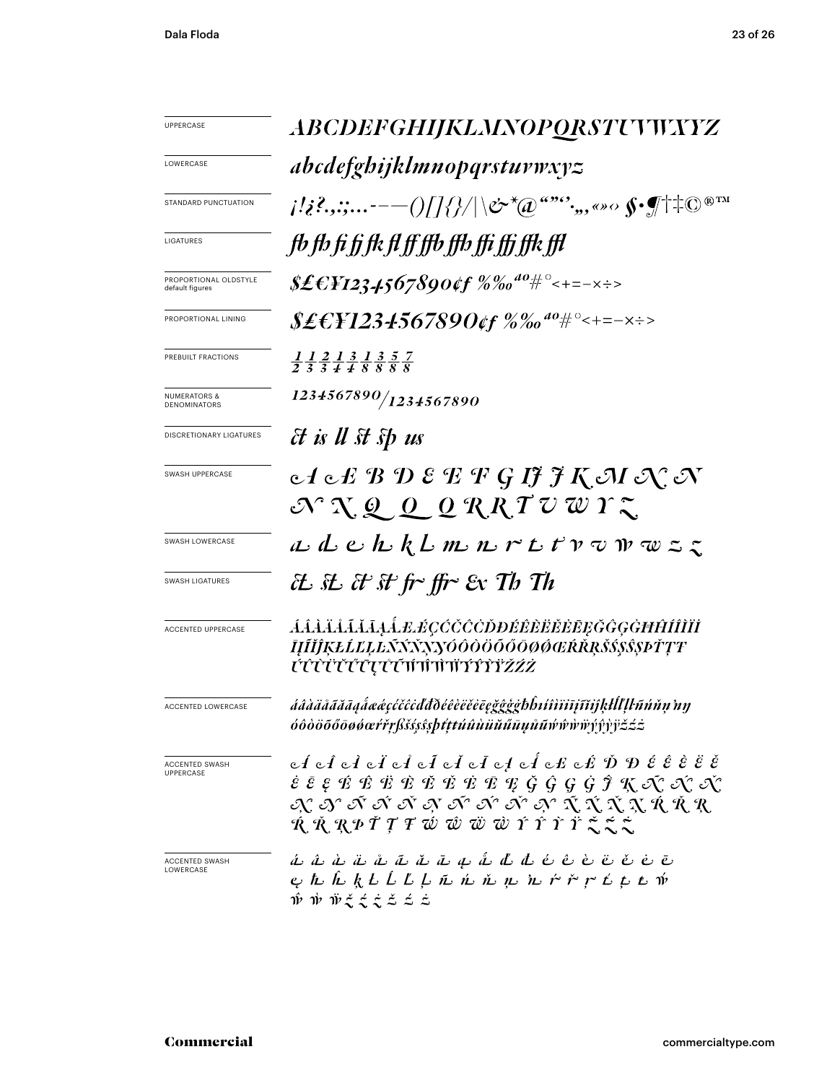| <b>UPPERCASE</b>                          | ABCDEFGHIJKLMNOPORSTUWXYZ                                                                                                                                                                                                                                                                                                                                                                                                                                                                                                                                                                                    |
|-------------------------------------------|--------------------------------------------------------------------------------------------------------------------------------------------------------------------------------------------------------------------------------------------------------------------------------------------------------------------------------------------------------------------------------------------------------------------------------------------------------------------------------------------------------------------------------------------------------------------------------------------------------------|
| LOWERCASE                                 | abcdefghijklmnopqrstuvwxyz                                                                                                                                                                                                                                                                                                                                                                                                                                                                                                                                                                                   |
| <b>STANDARD PUNCTUATION</b>               | $\{ \langle i^2_i, \ldots \cdot - - () / /\} / \rangle /  \circlearrowright^{\star} \langle \emptyset \rangle^{\omega_{\infty}}, \ldots \circ \circ \langle \hspace{-0.2em} \langle \bullet \rangle \langle \top \rangle + \circlearrowright^{\otimes \operatorname{TM}}$                                                                                                                                                                                                                                                                                                                                    |
| LIGATURES                                 | fb fb fi fj fk fl ff ffb ffb ffi ffi ffk ffl                                                                                                                                                                                                                                                                                                                                                                                                                                                                                                                                                                 |
| PROPORTIONAL OLDSTYLE<br>default figures  | \$£€¥1234567890¢f %‰ <sup>do</sup> #°<+=-×÷>                                                                                                                                                                                                                                                                                                                                                                                                                                                                                                                                                                 |
| PROPORTIONAL LINING                       | \$£€¥1234567890¢f %‰ <sup>ao</sup> #°<+=-×÷>                                                                                                                                                                                                                                                                                                                                                                                                                                                                                                                                                                 |
| PREBUILT FRACTIONS                        | $\frac{1}{2}$ $\frac{1}{3}$ $\frac{2}{4}$ $\frac{1}{4}$ $\frac{3}{8}$ $\frac{5}{8}$ $\frac{7}{8}$                                                                                                                                                                                                                                                                                                                                                                                                                                                                                                            |
| <b>NUMERATORS &amp;</b><br>DENOMINATORS   | 1234567890/1234567890                                                                                                                                                                                                                                                                                                                                                                                                                                                                                                                                                                                        |
| DISCRETIONARY LIGATURES                   | <i>Et is U st sp us</i>                                                                                                                                                                                                                                                                                                                                                                                                                                                                                                                                                                                      |
| SWASH UPPERCASE                           | $c$ $f$ $c$ $E$ $B$ $D$ ${\mathcal E}$ $E$ $F$ $G$ $I$ ${\mathcal J}$ $\widetilde f$ $K$ ${\mathcal J}$ $I$ ${\mathcal J}$ ${\mathcal J}$ ${\mathcal J}$ ${\mathcal J}$<br>$\mathcal{N} \propto \mathcal{Q} \propto \mathcal{Q} \propto \mathcal{R} \mathcal{R} \mathcal{T} \mathcal{Q} \mathcal{Q} \mathcal{Y} \mathcal{Z}$                                                                                                                                                                                                                                                                                 |
| SWASH LOWERCASE                           | $a$ $d$ $e$ $h$ $k$ $l$ $m$ $n$ $r$ $t$ $t$ $v$ $v$ $w$ $z$ $z$                                                                                                                                                                                                                                                                                                                                                                                                                                                                                                                                              |
| <b>SWASH LIGATURES</b>                    | EL. SL. Et St fr~ ffr~ Ex Th Th                                                                                                                                                                                                                                                                                                                                                                                                                                                                                                                                                                              |
| <b>ACCENTED UPPERCASE</b>                 | ĹĹĹĹĹĹĹĹĹĿĹ <i>ĿÉÇĆČĊŎĐĔÊĔĔĔĔĘĞĜĢĠĦĤĺÎĨĬĬ</i><br>ĪĮĨĬĴĶŁĹĽĻĿÑŃŇŊŊŎÔŎŎŎŎŌØØŒŔŘŖŠ\$\$\$\$PŤŢŦ<br><i>ぜҼҼѤѤѤѤѤѤѤѤѤѤѤѤѤѤѤ</i>                                                                                                                                                                                                                                                                                                                                                                                                                                                                                     |
| <b>ACCENTED LOWERCASE</b>                 | áâàäåããāaẩæéçćčĉċďđðéêèëĕēeğĝĝģbĥıíîìïījĩĭjķŀĺľḷŀñńňņ'nŋ<br><i>óôòöōőōøøœŕřŗßšśşŝşþtţŧúûùüŭűūųůū</i> ŵŵŵŵÿŷŷỳëźź                                                                                                                                                                                                                                                                                                                                                                                                                                                                                             |
| <b>ACCENTED SWASH</b><br><b>UPPERCASE</b> | $c\acute{t}$ $c\acute{t}$ $c\acute{t}$ $c\acute{t}$ $c\acute{t}$ $c\acute{t}$ $c\acute{t}$ $c\acute{t}$ $c\acute{t}$ $c\acute{t}$ $c\acute{t}$ $\acute{c}\acute{t}$ $\acute{e}\acute{c}\acute{e}\acute{c}\acute{c}$<br>$\dot{\varepsilon}$ $\bar{\varepsilon}$ $\varepsilon$ $\acute{x}$ $\acute{x}$ $\ddot{x}$ $\ddot{x}$ $\ddot{x}$ $\ddot{x}$ $\ddot{x}$ $\ddot{y}$ $\ddot{y}$ $\ddot{y}$ $\ddot{y}$ $\ddot{y}$ $\ddot{y}$ $\ddot{y}$ $\ddot{y}$ $\ddot{y}$ $\ddot{y}$ $\ddot{y}$ $\ddot{y}$ $\ddot{y}$ $\ddot{y}$ $\ddot{y}$ $\ddot{$<br>A 9 & 5 & 5 & 9 & 6 & 9 & 9 & 5 & 8 & 9 &<br>ŔŘŖPŤŢŦŴŴŴŴŕŶŶŸŽŹŻ |
| ACCENTED SWASH<br>LOWERCASE               | á â à ä ä å ā ă ā a a â â d đ é ê è ë ë ë ë ē<br>e the h k h h h h ji h ji h ji h ji h ji h h ji h ji<br>$\hat{\mathfrak{w}}$ $\hat{\mathfrak{w}}$ $\hat{\mathfrak{w}}$ $\hat{\mathfrak{z}}$ $\hat{\mathfrak{z}}$ $\hat{\mathfrak{z}}$ $\hat{\mathfrak{z}}$ $\hat{\mathfrak{z}}$ $\hat{\mathfrak{z}}$ $\hat{\mathfrak{z}}$                                                                                                                                                                                                                                                                                   |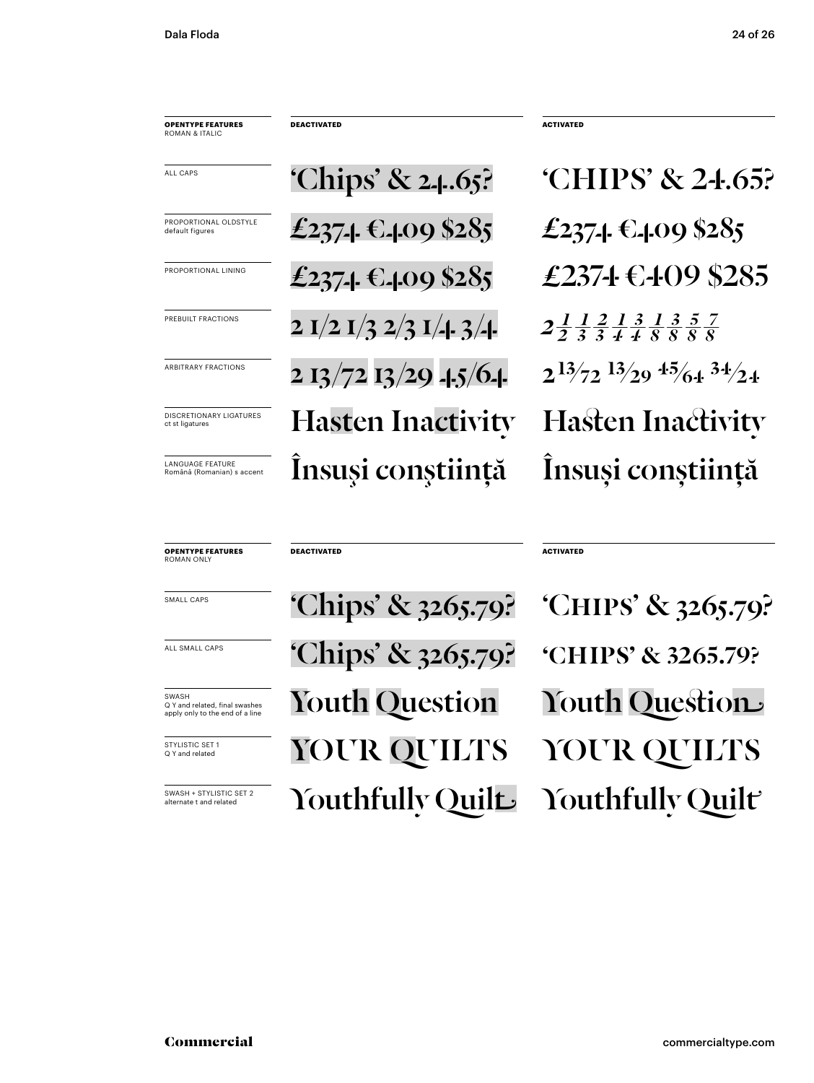| <b>OPENTYPE FEATURES</b><br>ROMAN & ITALIC            | <b>DEACTIVATED</b>                      |
|-------------------------------------------------------|-----------------------------------------|
| ALL CAPS                                              | 'Chips' & 2.4.65?                       |
| PROPORTIONAL OI DSTYLE<br>default figures             | £2374 €409 \$285                        |
| PROPORTIONAL LINING                                   | £2374 €409 \$285                        |
| PREBUILT FRACTIONS                                    | 2 I/2 I/3 2/3 I/4 3/4                   |
| <b>ARBITRARY FRACTIONS</b>                            | $2\frac{13}{72}\frac{13}{29}$ -1.5/6-1. |
| <b>DISCRETIONARY LIGATURES</b><br>ct st ligatures     | <b>Hasten Inactivity</b>                |
| <b>LANGUAGE FEATURE</b><br>Română (Romanian) s accent | Însuși conștiință                       |

'CHIPS' & 24.65? £237-1 €-109 \$285 £2374€409 \$285  $2\frac{1}{3}\frac{1}{3}\frac{2}{4}\frac{1}{4}\frac{3}{8}\frac{1}{8}\frac{3}{8}\frac{5}{8}$  $2^{13/72}$   $1^{3/29}$   $4^{5/64}$   $3^{4/24}$ **Hasten Inactivity** Însuși conștiință

**ACTIVATED** 

**OPENTYPE FEATURES**<br>ROMAN ONLY **ACTIVATED DEACTIVATED** 'Chips' & 3265.79? 'CHIPS' & 3265.79? 'Chips' & 3265.79? 'CHIPS' & 3265.79? **Youth Question** Youth Question YOUR QUILTS YOUR QUILTS Youthfully Quilt Youthfully Quilt

SMALL CAPS

ALL SMALL CAPS

SWASH O Y and related, final swashes apply only to the end of a line

STYLISTIC SET 1 Q Y and related

SWASH + STYLISTIC SFT 2 ternate t and related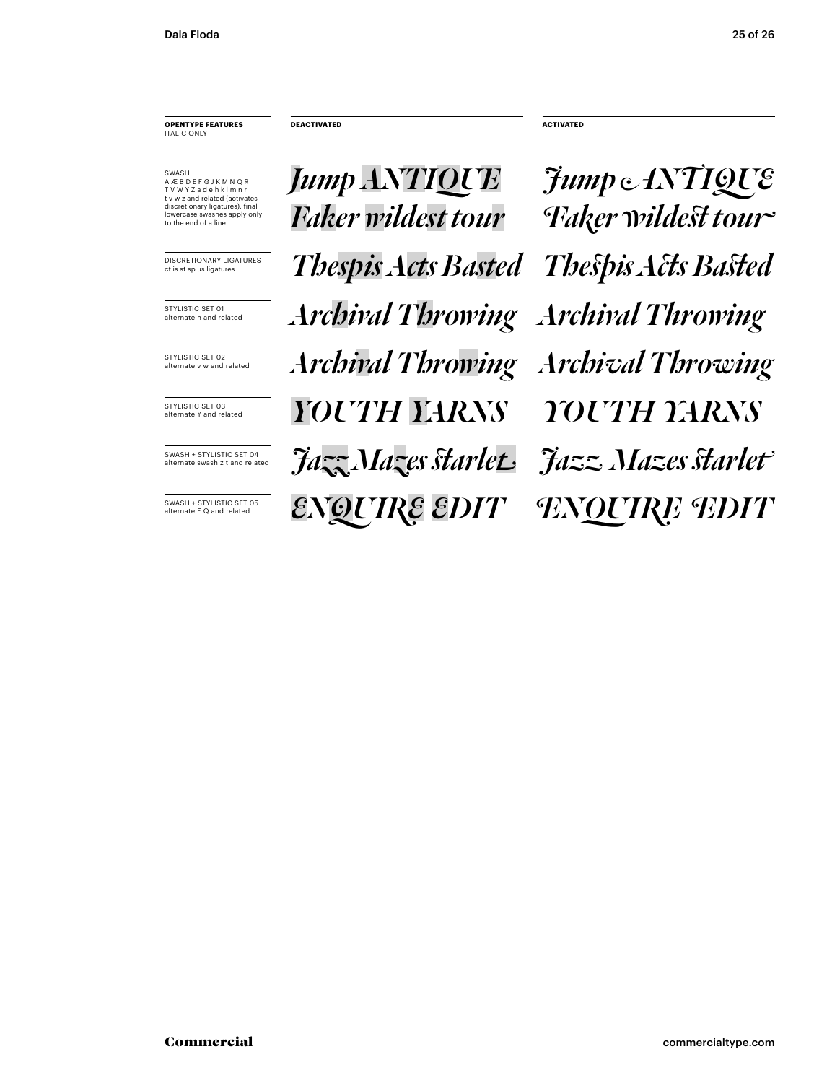**OPENTYPE FEATURES** ITALIC ONLY

A Æ B D E F G J K M N Q R T V W Y Z a d e h k l m n r t v w z and related (activates discretionary ligatures), final lowercase swashes apply only to the end of a line

**Jump ANTIQUE** Sump ANTIQUE  $\frac{1}{\text{DiscREITIONARY LIGATURES}}$  *Thespis Acts Basted Thespis Acts Basted*  $\overline{Y_{\text{S}}\text{VUSTIC SET O3}}$   $\overline{Y}OUTH$   $\overline{Y}AKNS$   $\overline{Y}OUTH$   $\overline{Y}AKNS$ **Archival Throwing and Throwing and Throwing STYLISTIC SET OI**<br>alternate h and related **Archival Throwing Archival Throwing** *Faker wildest tour Faker wildest tour* **ENQUIRE EDIT** SET OF THE SET OF **ENQUIRE EDIT JAZZ MAZES START SET OA CONCRET OF TALL START ARRIVERS** 

**DEACTIVATED ACTIVATED**